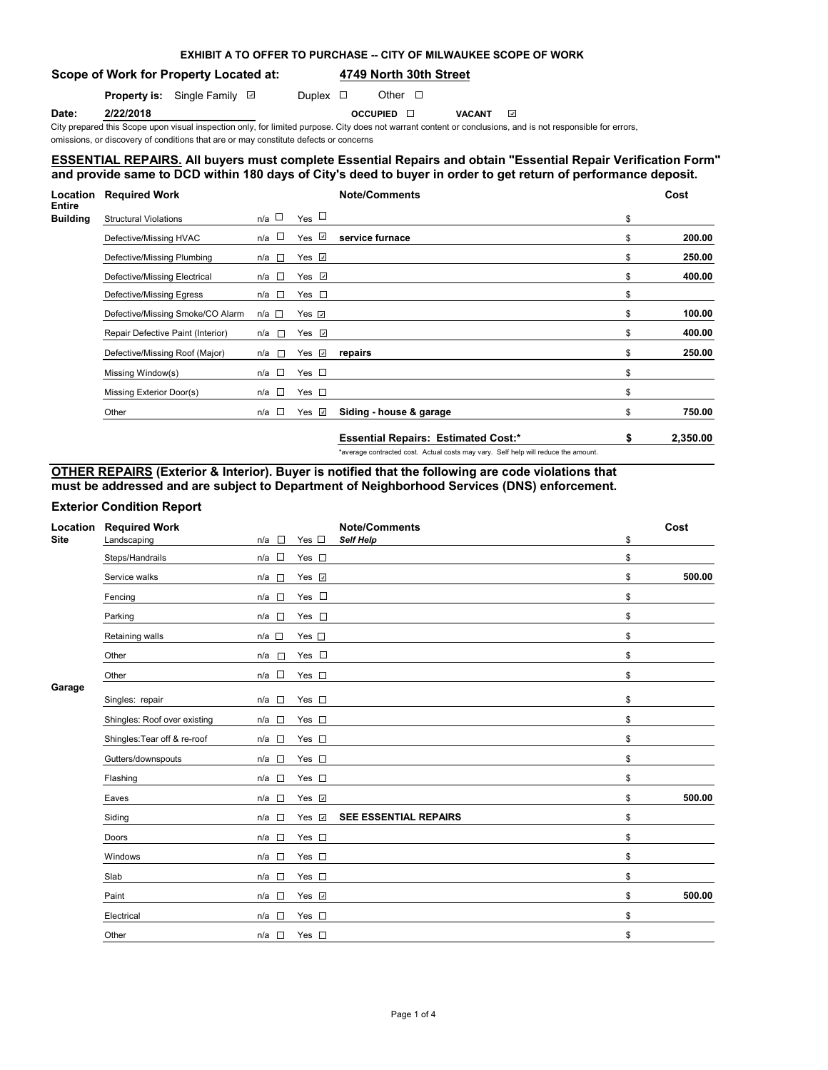| EXHIBIT A TO OFFER TO PURCHASE -- CITY OF MILWAUKEE SCOPE OF WORK |
|-------------------------------------------------------------------|
|-------------------------------------------------------------------|

**Scope of Work for Property Located at: 4749 North 30th Street**

**Property is:** Single Family **D** Duplex **D** Other **D** 

**Date: 2/22/2018 OCCUPIED VACANT**

City prepared this Scope upon visual inspection only, for limited purpose. City does not warrant content or conclusions, and is not responsible for errors, omissions, or discovery of conditions that are or may constitute defects or concerns

## **ESSENTIAL REPAIRS. All buyers must complete Essential Repairs and obtain "Essential Repair Verification Form" and provide same to DCD within 180 days of City's deed to buyer in order to get return of performance deposit.**

| <b>Location</b>                  | <b>Required Work</b>              |               |                             | <b>Note/Comments</b>                       |    | Cost     |
|----------------------------------|-----------------------------------|---------------|-----------------------------|--------------------------------------------|----|----------|
| <b>Entire</b><br><b>Building</b> | <b>Structural Violations</b>      | n/a □         | $Yes$ $\Box$                |                                            | \$ |          |
|                                  | Defective/Missing HVAC            | n/a □         | Yes $\overline{\mathbb{Z}}$ | service furnace                            | \$ | 200.00   |
|                                  | Defective/Missing Plumbing        | n/a <b>□</b>  | Yes $\Box$                  |                                            | S  | 250.00   |
|                                  | Defective/Missing Electrical      | n/a □         | Yes $\Box$                  |                                            | \$ | 400.00   |
|                                  | Defective/Missing Egress          | n/a □         | Yes $\square$               |                                            | \$ |          |
|                                  | Defective/Missing Smoke/CO Alarm  | n/a □         | Yes $\overline{v}$          |                                            | \$ | 100.00   |
|                                  | Repair Defective Paint (Interior) | $n/a$ $\Box$  | Yes $\Box$                  |                                            | \$ | 400.00   |
|                                  | Defective/Missing Roof (Major)    | n/a <b>□</b>  | Yes $\sqrt{ }$              | repairs                                    | \$ | 250.00   |
|                                  | Missing Window(s)                 | n/a □         | Yes $\square$               |                                            | \$ |          |
|                                  | Missing Exterior Door(s)          | n/a $\square$ | Yes $\square$               |                                            | \$ |          |
|                                  | Other                             | n/a □         | Yes $\sqrt{ }$              | Siding - house & garage                    | \$ | 750.00   |
|                                  |                                   |               |                             | <b>Essential Repairs: Estimated Cost:*</b> | S  | 2,350.00 |

\*average contracted cost. Actual costs may vary. Self help will reduce the amount.

## **OTHER REPAIRS (Exterior & Interior). Buyer is notified that the following are code violations that must be addressed and are subject to Department of Neighborhood Services (DNS) enforcement.**

## **Exterior Condition Report**

| Location    | <b>Required Work</b>         |                                 |               | <b>Note/Comments</b>         | Cost         |
|-------------|------------------------------|---------------------------------|---------------|------------------------------|--------------|
| <b>Site</b> | Landscaping                  | $\sim$<br>n/a                   | Yes $\square$ | <b>Self Help</b>             | \$           |
|             | Steps/Handrails              | $\overline{\phantom{a}}$<br>n/a | Yes $\square$ |                              | \$           |
|             | Service walks                | n/a<br>$\mathbb{R}^n$           | Yes <b>☑</b>  |                              | \$<br>500.00 |
|             | Fencing                      | $n/a$ $\square$                 | Yes $\square$ |                              | \$           |
|             | Parking                      | $n/a$ $\square$                 | Yes $\square$ |                              | \$           |
|             | Retaining walls              | $n/a$ $\square$                 | Yes $\square$ |                              | \$           |
|             | Other                        | n/a<br><b>TO</b>                | Yes $\square$ |                              | \$           |
|             | Other                        | $n/a$ $\square$                 | Yes $\square$ |                              | \$           |
| Garage      | Singles: repair              | n/a<br>$\overline{\phantom{a}}$ | Yes $\square$ |                              | \$           |
|             | Shingles: Roof over existing | $n/a$ $\square$                 | Yes $\square$ |                              | \$           |
|             | Shingles: Tear off & re-roof | $n/a$ $\square$                 | Yes $\square$ |                              | \$           |
|             | Gutters/downspouts           | n/a<br>$\Box$                   | Yes $\square$ |                              | \$           |
|             | Flashing                     | $\overline{a}$<br>n/a           | Yes $\square$ |                              | \$           |
|             | Eaves                        | $\Box$<br>n/a                   | Yes v         |                              | \$<br>500.00 |
|             | Siding                       | $n/a$ $\square$                 | Yes v         | <b>SEE ESSENTIAL REPAIRS</b> | \$           |
|             | Doors                        | $n/a$ $\square$                 | Yes $\square$ |                              | \$           |
|             | Windows                      | $n/a$ $\square$                 | Yes $\square$ |                              | \$           |
|             | Slab                         | $\Box$<br>n/a                   | Yes $\square$ |                              | \$           |
|             | Paint                        | $\overline{a}$<br>n/a           | Yes v         |                              | \$<br>500.00 |
|             | Electrical                   | n/a<br>$\sim$                   | Yes $\square$ |                              | \$           |
|             | Other                        | n/a<br>$\sim$                   | Yes $\square$ |                              | \$           |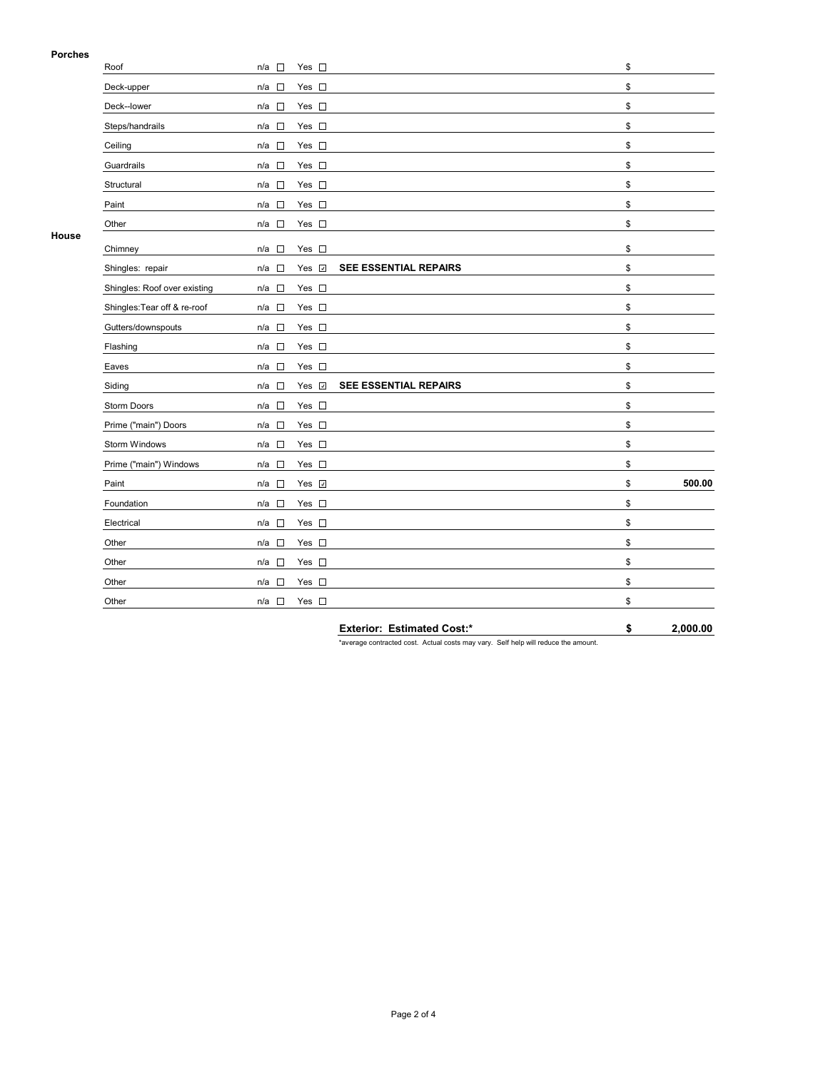### **Porches**

| гиспеэ | Roof                         | $\sim$<br>n/a                   | Yes $\square$ |                       | \$           |
|--------|------------------------------|---------------------------------|---------------|-----------------------|--------------|
|        | Deck-upper                   |                                 | Yes $\square$ |                       | \$           |
|        |                              | n/a<br>$\sim$                   |               |                       |              |
|        | Deck--lower                  | $n/a$ $\square$                 | Yes $\square$ |                       | \$           |
|        | Steps/handrails              | $n/a$ $\square$                 | Yes $\square$ |                       | \$           |
|        | Ceiling                      | $\Box$<br>n/a                   | Yes $\square$ |                       | \$           |
|        | Guardrails                   | $n/a$ $\square$                 | Yes $\square$ |                       | \$           |
|        | Structural                   | $\Box$<br>n/a                   | Yes $\square$ |                       | \$           |
|        | Paint                        | n/a<br>$\sim$                   | Yes $\square$ |                       | \$           |
|        | Other                        | $n/a$ $\square$                 | Yes $\square$ |                       | \$           |
| House  | Chimney                      | n/a<br>$\sim$                   | Yes $\square$ |                       | \$           |
|        | Shingles: repair             | $\overline{\phantom{a}}$<br>n/a | Yes v         | SEE ESSENTIAL REPAIRS | \$           |
|        | Shingles: Roof over existing | $n/a$ $\square$                 | Yes $\square$ |                       | \$           |
|        | Shingles: Tear off & re-roof | $n/a$ $\square$                 | Yes $\square$ |                       | \$           |
|        | Gutters/downspouts           | n/a<br>$\Box$                   | Yes $\square$ |                       | \$           |
|        | Flashing                     | $\Box$<br>n/a                   | Yes $\square$ |                       | \$           |
|        | Eaves                        | $\Box$<br>n/a                   | Yes $\square$ |                       | \$           |
|        | Siding                       | n/a                             | Yes <b>⊽</b>  | SEE ESSENTIAL REPAIRS | \$           |
|        | Storm Doors                  | n/a $\square$                   | Yes $\square$ |                       | \$           |
|        | Prime ("main") Doors         | n/a<br>$\Box$                   | Yes $\square$ |                       | \$           |
|        | <b>Storm Windows</b>         | П<br>n/a                        | Yes $\square$ |                       | \$           |
|        | Prime ("main") Windows       | n/a<br>$\sim$                   | Yes $\square$ |                       | \$           |
|        | Paint                        | $n/a$ $\square$                 | Yes V         |                       | \$<br>500.00 |
|        | Foundation                   | $\sim$<br>n/a                   | Yes $\square$ |                       | \$           |
|        | Electrical                   | n/a □                           | Yes $\square$ |                       | \$           |
|        | Other                        | $\Box$<br>n/a                   | Yes $\square$ |                       | \$           |
|        | Other                        | n/a<br>$\overline{\phantom{a}}$ | Yes $\square$ |                       | \$           |
|        | Other                        | $\Box$<br>n/a                   | Yes $\square$ |                       | \$           |
|        | Other                        | n/a □                           | Yes $\square$ |                       | \$           |
|        |                              |                                 |               |                       |              |

**Exterior: Estimated Cost:\* \$ 2,000.00**

\*average contracted cost. Actual costs may vary. Self help will reduce the amount.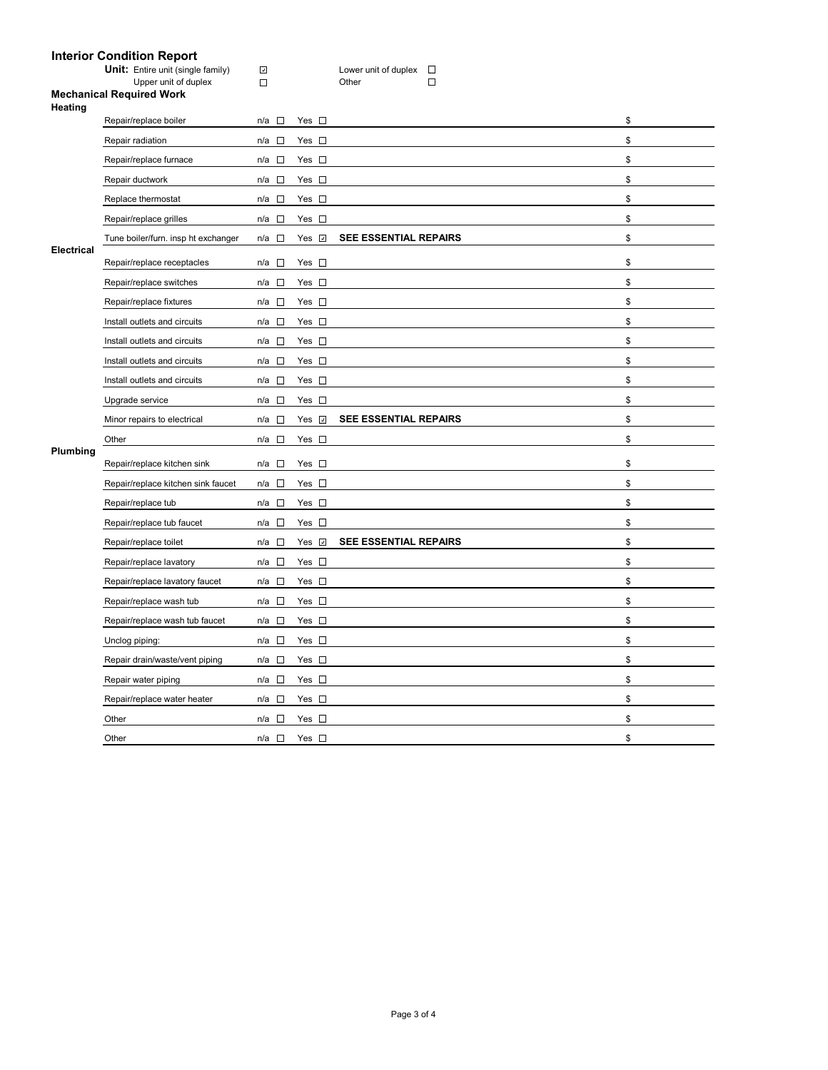# **Interior Condition Report**

| <b>Unit:</b> Entire unit (single fam |
|--------------------------------------|
| Upper unit of duplex                 |

**UNIT: UNITE: Unit Comment**<br>Version of the family) Different control duplex<br>
Different Different Different Different Different Different Different Different Different Different Different D  $\mathcal{L}_{\mathcal{A}}$ 

#### **Mechanical Required Work Heating**

| neauny            |                                     |                       |                |                              |    |
|-------------------|-------------------------------------|-----------------------|----------------|------------------------------|----|
|                   | Repair/replace boiler               | n/a □                 | Yes $\square$  |                              | \$ |
|                   | Repair radiation                    | n/a □                 | Yes $\square$  |                              | \$ |
|                   | Repair/replace furnace              | n/a<br>$\mathbf{r}$   | Yes $\square$  |                              | \$ |
|                   | Repair ductwork                     | n/a $\square$         | Yes $\square$  |                              | \$ |
|                   | Replace thermostat                  | n/a □                 | Yes $\square$  |                              | \$ |
|                   | Repair/replace grilles              | n/a<br>$\sim$         | Yes $\square$  |                              | \$ |
|                   | Tune boiler/furn. insp ht exchanger | $n/a$ $\square$       | Yes <b>☑</b>   | SEE ESSENTIAL REPAIRS        | \$ |
| <b>Electrical</b> | Repair/replace receptacles          | n/a<br>$\overline{a}$ | Yes $\square$  |                              | \$ |
|                   | Repair/replace switches             | $n/a$ $\square$       | Yes $\square$  |                              | \$ |
|                   | Repair/replace fixtures             | n/a $\square$         | Yes $\square$  |                              | \$ |
|                   | Install outlets and circuits        | n/a<br>$\sim$         | Yes $\square$  |                              | \$ |
|                   | Install outlets and circuits        | $n/a$ $\square$       | Yes $\square$  |                              | \$ |
|                   | Install outlets and circuits        | $\Box$<br>n/a         | Yes $\square$  |                              | \$ |
|                   | Install outlets and circuits        | n/a □                 | Yes $\square$  |                              | \$ |
|                   | Upgrade service                     | n/a<br>$\sim$         | Yes $\square$  |                              | \$ |
| Plumbing          | Minor repairs to electrical         | n/a □                 | Yes $\sqrt{2}$ | <b>SEE ESSENTIAL REPAIRS</b> | \$ |
|                   | Other                               | $n/a$ $\square$       | Yes $\square$  |                              | \$ |
|                   | Repair/replace kitchen sink         | $\sim$<br>n/a         | Yes $\square$  |                              | \$ |
|                   | Repair/replace kitchen sink faucet  | n/a<br>- 13           | Yes $\square$  |                              | \$ |
|                   | Repair/replace tub                  | n/a<br>$\sim$         | Yes $\square$  |                              | \$ |
|                   | Repair/replace tub faucet           | $n/a$ $\square$       | Yes $\square$  |                              | \$ |
|                   | Repair/replace toilet               | n/a □                 | Yes <b>☑</b>   | <b>SEE ESSENTIAL REPAIRS</b> | \$ |
|                   | Repair/replace lavatory             | n/a<br>$\sim$         | Yes $\square$  |                              | \$ |
|                   | Repair/replace lavatory faucet      | n/a $\square$         | Yes $\square$  |                              | \$ |
|                   | Repair/replace wash tub             | $n/a$ $\square$       | Yes $\square$  |                              | \$ |
|                   | Repair/replace wash tub faucet      | $\sim$<br>n/a         | Yes $\square$  |                              | \$ |
|                   | Unclog piping:                      | n/a<br>$\sim$         | Yes $\square$  |                              | \$ |
|                   | Repair drain/waste/vent piping      | $n/a$ $\square$       | Yes $\square$  |                              | \$ |
|                   | Repair water piping                 | n/a □                 | Yes $\square$  |                              | \$ |
|                   | Repair/replace water heater         | $\sim$<br>n/a         | Yes $\square$  |                              | \$ |
|                   | Other                               | $n/a$ $\square$       | Yes $\square$  |                              | \$ |
|                   | Other                               | $n/a$ $\square$       | Yes $\square$  |                              | \$ |
|                   |                                     |                       |                |                              |    |